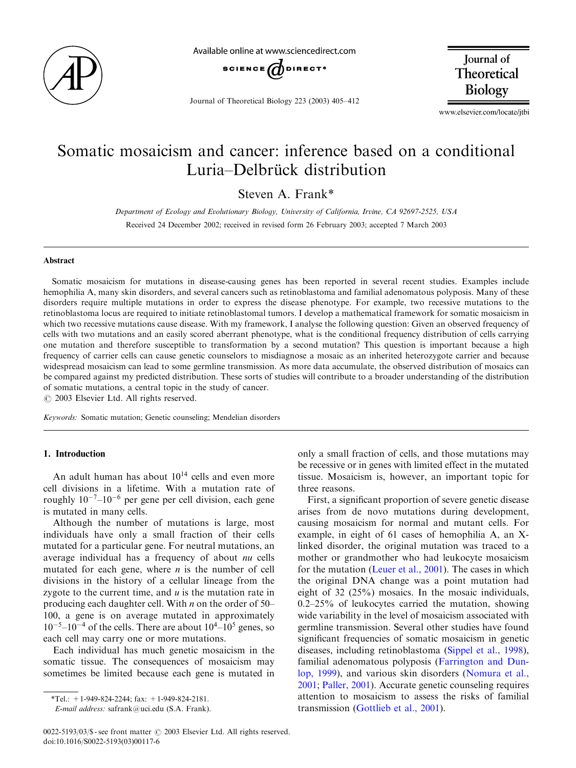

Available online at www sciencedirect com



Journal of Theoretical Biology 223 (2003) 405–412

Journal of Theoretical Biology

www.elsevier.com/locate/jtbi

# Somatic mosaicism and cancer: inference based on a conditional Luria–Delbrück distribution

Steven A. Frank\*

Department of Ecology and Evolutionary Biology, University of California, Irvine, CA 92697-2525, USA Received 24 December 2002; received in revised form 26 February 2003; accepted 7 March 2003

#### Abstract

Somatic mosaicism for mutations in disease-causing genes has been reported in several recent studies. Examples include hemophilia A, many skin disorders, and several cancers such as retinoblastoma and familial adenomatous polyposis. Many of these disorders require multiple mutations in order to express the disease phenotype. For example, two recessive mutations to the retinoblastoma locus are required to initiate retinoblastomal tumors. I develop a mathematical framework for somatic mosaicism in which two recessive mutations cause disease. With my framework, I analyse the following question: Given an observed frequency of cells with two mutations and an easily scored aberrant phenotype, what is the conditional frequency distribution of cells carrying one mutation and therefore susceptible to transformation by a second mutation? This question is important because a high frequency of carrier cells can cause genetic counselors to misdiagnose a mosaic as an inherited heterozygote carrier and because widespread mosaicism can lead to some germline transmission. As more data accumulate, the observed distribution of mosaics can be compared against my predicted distribution. These sorts of studies will contribute to a broader understanding of the distribution of somatic mutations, a central topic in the study of cancer.

 $O$  2003 Elsevier Ltd. All rights reserved.

Keywords: Somatic mutation; Genetic counseling; Mendelian disorders

# 1. Introduction

An adult human has about  $10^{14}$  cells and even more cell divisions in a lifetime. With a mutation rate of roughly  $10^{-7}$ – $10^{-6}$  per gene per cell division, each gene is mutated in many cells.

Although the number of mutations is large, most individuals have only a small fraction of their cells mutated for a particular gene. For neutral mutations, an average individual has a frequency of about nu cells mutated for each gene, where  $n$  is the number of cell divisions in the history of a cellular lineage from the zygote to the current time, and  $u$  is the mutation rate in producing each daughter cell. With  $n$  on the order of 50– 100, a gene is on average mutated in approximately  $10^{-5}$ – $10^{-4}$  of the cells. There are about  $10^{4}$ – $10^{5}$  genes, so each cell may carry one or more mutations.

Each individual has much genetic mosaicism in the somatic tissue. The consequences of mosaicism may sometimes be limited because each gene is mutated in

only a small fraction of cells, and those mutations may be recessive or in genes with limited effect in the mutated tissue. Mosaicism is, however, an important topic for three reasons.

First, a significant proportion of severe genetic disease arises from de novo mutations during development, causing mosaicism for normal and mutant cells. For example, in eight of 61 cases of hemophilia A, an Xlinked disorder, the original mutation was traced to a mother or grandmother who had leukocyte mosaicism for the mutation [\(Leuer et al., 2001](#page-7-0)). The cases in which the original DNA change was a point mutation had eight of 32 (25%) mosaics. In the mosaic individuals, 0.2–25% of leukocytes carried the mutation, showing wide variability in the level of mosaicism associated with germline transmission. Several other studies have found significant frequencies of somatic mosaicism in genetic diseases, including retinoblastoma ([Sippel et al., 1998\)](#page-7-0), familial adenomatous polyposis [\(Farrington and Dun](#page-7-0)[lop, 1999](#page-7-0)), and various skin disorders ([Nomura et al.,](#page-7-0) [2001;](#page-7-0) [Paller, 2001](#page-7-0)). Accurate genetic counseling requires attention to mosaicism to assess the risks of familial transmission (Gottlieb et al., 2001).

 $*Tel$ : +1-949-824-2244; fax: +1-949-824-2181.

E-mail address: safrank@uci.edu (S.A. Frank).

 $0022-5193/03$ /\$ - see front matter  $\odot$  2003 Elsevier Ltd. All rights reserved. doi:10.1016/S0022-5193(03)00117-6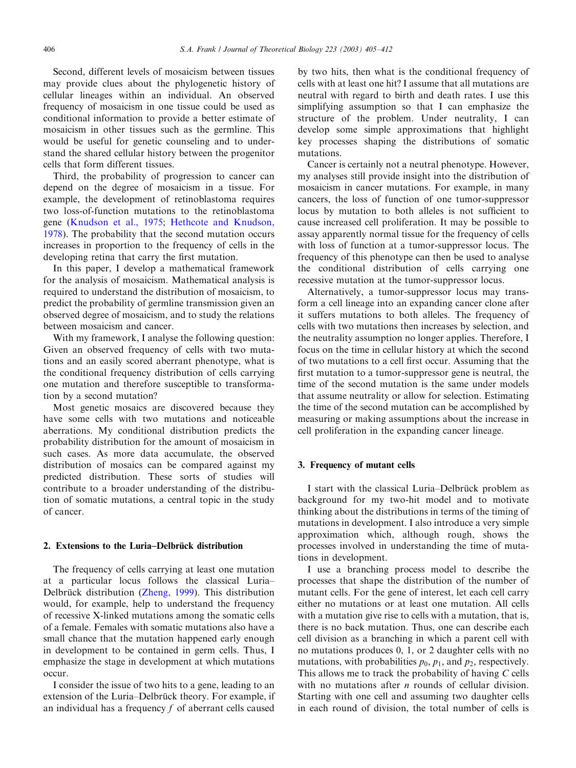Second, different levels of mosaicism between tissues may provide clues about the phylogenetic history of cellular lineages within an individual. An observed frequency of mosaicism in one tissue could be used as conditional information to provide a better estimate of mosaicism in other tissues such as the germline. This would be useful for genetic counseling and to understand the shared cellular history between the progenitor cells that form different tissues.

Third, the probability of progression to cancer can depend on the degree of mosaicism in a tissue. For example, the development of retinoblastoma requires two loss-of-function mutations to the retinoblastoma gene ([Knudson et al., 1975](#page-7-0); [Hethcote and Knudson,](#page-7-0) [1978\)](#page-7-0). The probability that the second mutation occurs increases in proportion to the frequency of cells in the developing retina that carry the first mutation.

In this paper, I develop a mathematical framework for the analysis of mosaicism. Mathematical analysis is required to understand the distribution of mosaicism, to predict the probability of germline transmission given an observed degree of mosaicism, and to study the relations between mosaicism and cancer.

With my framework, I analyse the following question: Given an observed frequency of cells with two mutations and an easily scored aberrant phenotype, what is the conditional frequency distribution of cells carrying one mutation and therefore susceptible to transformation by a second mutation?

Most genetic mosaics are discovered because they have some cells with two mutations and noticeable aberrations. My conditional distribution predicts the probability distribution for the amount of mosaicism in such cases. As more data accumulate, the observed distribution of mosaics can be compared against my predicted distribution. These sorts of studies will contribute to a broader understanding of the distribution of somatic mutations, a central topic in the study of cancer.

#### 2. Extensions to the Luria–Delbrück distribution

The frequency of cells carrying at least one mutation at a particular locus follows the classical Luria– Delbrück distribution ([Zheng, 1999\)](#page-7-0). This distribution would, for example, help to understand the frequency of recessive X-linked mutations among the somatic cells of a female. Females with somatic mutations also have a small chance that the mutation happened early enough in development to be contained in germ cells. Thus, I emphasize the stage in development at which mutations occur.

I consider the issue of two hits to a gene, leading to an extension of the Luria–Delbrück theory. For example, if an individual has a frequency  $f$  of aberrant cells caused

by two hits, then what is the conditional frequency of cells with at least one hit? I assume that all mutations are neutral with regard to birth and death rates. I use this simplifying assumption so that I can emphasize the structure of the problem. Under neutrality, I can develop some simple approximations that highlight key processes shaping the distributions of somatic mutations.

Cancer is certainly not a neutral phenotype. However, my analyses still provide insight into the distribution of mosaicism in cancer mutations. For example, in many cancers, the loss of function of one tumor-suppressor locus by mutation to both alleles is not sufficient to cause increased cell proliferation. It may be possible to assay apparently normal tissue for the frequency of cells with loss of function at a tumor-suppressor locus. The frequency of this phenotype can then be used to analyse the conditional distribution of cells carrying one recessive mutation at the tumor-suppressor locus.

Alternatively, a tumor-suppressor locus may transform a cell lineage into an expanding cancer clone after it suffers mutations to both alleles. The frequency of cells with two mutations then increases by selection, and the neutrality assumption no longer applies. Therefore, I focus on the time in cellular history at which the second of two mutations to a cell first occur. Assuming that the first mutation to a tumor-suppressor gene is neutral, the time of the second mutation is the same under models that assume neutrality or allow for selection. Estimating the time of the second mutation can be accomplished by measuring or making assumptions about the increase in cell proliferation in the expanding cancer lineage.

#### 3. Frequency of mutant cells

I start with the classical Luria–Delbrück problem as background for my two-hit model and to motivate thinking about the distributions in terms of the timing of mutations in development. I also introduce a very simple approximation which, although rough, shows the processes involved in understanding the time of mutations in development.

I use a branching process model to describe the processes that shape the distribution of the number of mutant cells. For the gene of interest, let each cell carry either no mutations or at least one mutation. All cells with a mutation give rise to cells with a mutation, that is, there is no back mutation. Thus, one can describe each cell division as a branching in which a parent cell with no mutations produces 0, 1, or 2 daughter cells with no mutations, with probabilities  $p_0$ ,  $p_1$ , and  $p_2$ , respectively. This allows me to track the probability of having  $C$  cells with no mutations after  $n$  rounds of cellular division. Starting with one cell and assuming two daughter cells in each round of division, the total number of cells is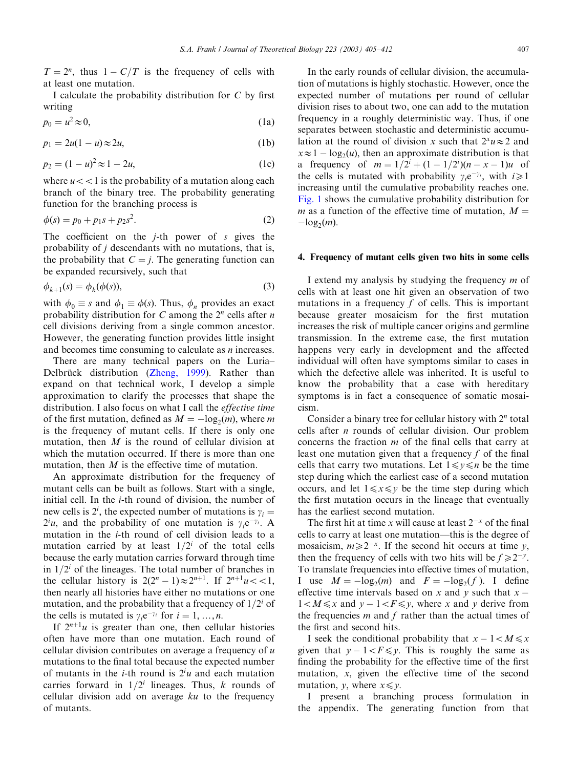$T = 2^n$ , thus  $1 - C/T$  is the frequency of cells with at least one mutation.

I calculate the probability distribution for  $C$  by first writing

$$
p_0 = u^2 \approx 0,\tag{1a}
$$

$$
p_1 = 2u(1-u) \approx 2u,\tag{1b}
$$

$$
p_2 = (1 - u)^2 \approx 1 - 2u,\tag{1c}
$$

where  $u < 1$  is the probability of a mutation along each branch of the binary tree. The probability generating function for the branching process is

$$
\phi(s) = p_0 + p_1 s + p_2 s^2. \tag{2}
$$

The coefficient on the  $j$ -th power of  $s$  gives the probability of j descendants with no mutations, that is, the probability that  $C = j$ . The generating function can be expanded recursively, such that

$$
\phi_{k+1}(s) = \phi_k(\phi(s)),\tag{3}
$$

with  $\phi_0 \equiv s$  and  $\phi_1 \equiv \phi(s)$ . Thus,  $\phi_n$  provides an exact probability distribution for C among the  $2<sup>n</sup>$  cells after n cell divisions deriving from a single common ancestor. However, the generating function provides little insight and becomes time consuming to calculate as n increases.

There are many technical papers on the Luria– Delbrück distribution ([Zheng, 1999](#page-7-0)). Rather than expand on that technical work, I develop a simple approximation to clarify the processes that shape the distribution. I also focus on what I call the effective time of the first mutation, defined as  $M = -\log_2(m)$ , where m is the frequency of mutant cells. If there is only one mutation, then  $M$  is the round of cellular division at which the mutation occurred. If there is more than one mutation, then *M* is the effective time of mutation.

An approximate distribution for the frequency of mutant cells can be built as follows. Start with a single, initial cell. In the *i*-th round of division, the number of new cells is 2<sup>*i*</sup>, the expected number of mutations is  $\gamma_i =$  $2^i u$ , and the probability of one mutation is  $\gamma_i e^{-\gamma_i}$ . A mutation in the i-th round of cell division leads to a mutation carried by at least  $1/2^i$  of the total cells because the early mutation carries forward through time in  $1/2<sup>i</sup>$  of the lineages. The total number of branches in the cellular history is  $2(2^n - 1) \approx 2^{n+1}$ . If  $2^{n+1}u < 1$ , then nearly all histories have either no mutations or one mutation, and the probability that a frequency of  $1/2<sup>i</sup>$  of the cells is mutated is  $\gamma_i e^{-\gamma_i}$  for  $i = 1, ..., n$ .

If  $2^{n+1}u$  is greater than one, then cellular histories often have more than one mutation. Each round of cellular division contributes on average a frequency of  $u$ mutations to the final total because the expected number of mutants in the *i*-th round is  $2^i u$  and each mutation carries forward in  $1/2<sup>i</sup>$  lineages. Thus, k rounds of cellular division add on average  $ku$  to the frequency of mutants.

In the early rounds of cellular division, the accumulation of mutations is highly stochastic. However, once the expected number of mutations per round of cellular division rises to about two, one can add to the mutation frequency in a roughly deterministic way. Thus, if one separates between stochastic and deterministic accumulation at the round of division x such that  $2^{x}u\approx2$  and  $x \approx 1 - \log_2(u)$ , then an approximate distribution is that a frequency of  $m = 1/2^{i} + (1 - 1/2^{i})(n - x - 1)u$  of the cells is mutated with probability  $y.e^{-\gamma_i}$ , with  $i\geq 1$ increasing until the cumulative probability reaches one. [Fig. 1](#page-3-0) shows the cumulative probability distribution for m as a function of the effective time of mutation,  $M =$  $-\log_2(m)$ .

#### 4. Frequency of mutant cells given two hits in some cells

I extend my analysis by studying the frequency  $m$  of cells with at least one hit given an observation of two mutations in a frequency  $f$  of cells. This is important because greater mosaicism for the first mutation increases the risk of multiple cancer origins and germline transmission. In the extreme case, the first mutation happens very early in development and the affected individual will often have symptoms similar to cases in which the defective allele was inherited. It is useful to know the probability that a case with hereditary symptoms is in fact a consequence of somatic mosaicism.

Consider a binary tree for cellular history with  $2<sup>n</sup>$  total cells after n rounds of cellular division. Our problem concerns the fraction m of the final cells that carry at least one mutation given that a frequency  $f$  of the final cells that carry two mutations. Let  $1 \le y \le n$  be the time step during which the earliest case of a second mutation occurs, and let  $1 \le x \le y$  be the time step during which the first mutation occurs in the lineage that eventually has the earliest second mutation.

The first hit at time x will cause at least  $2^{-x}$  of the final cells to carry at least one mutation—this is the degree of mosaicism,  $m\geq 2^{-x}$ . If the second hit occurs at time y, then the frequency of cells with two hits will be  $f \ge 2^{-y}$ . To translate frequencies into effective times of mutation, I use  $M = -\log_2(m)$  and  $F = -\log_2(f)$ . I define effective time intervals based on x and y such that  $x 1 < M \leq x$  and  $y - 1 < F \leq y$ , where x and y derive from the frequencies  $m$  and  $f$  rather than the actual times of the first and second hits.

I seek the conditional probability that  $x - 1 < M \le x$ given that  $y - 1 < F \le y$ . This is roughly the same as finding the probability for the effective time of the first mutation,  $x$ , given the effective time of the second mutation,  $\nu$ , where  $x \leq \nu$ .

I present a branching process formulation in the appendix. The generating function from that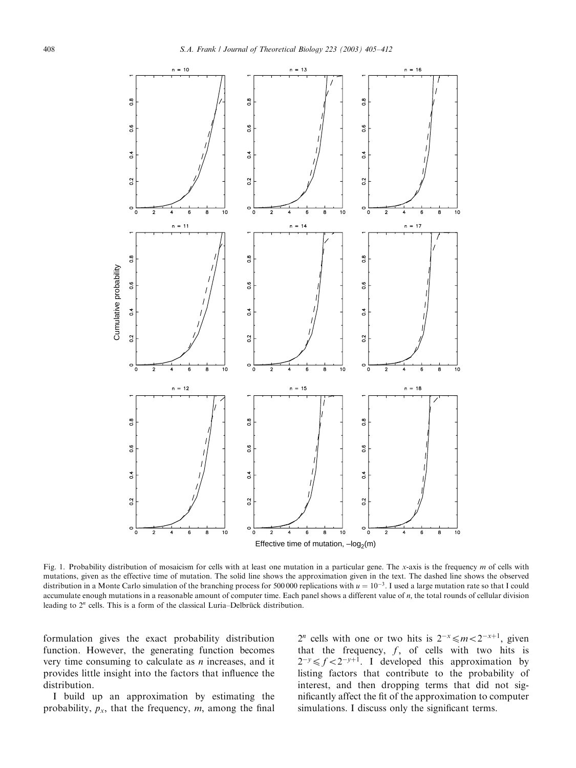<span id="page-3-0"></span>

Fig. 1. Probability distribution of mosaicism for cells with at least one mutation in a particular gene. The x-axis is the frequency  $m$  of cells with mutations, given as the effective time of mutation. The solid line shows the approximation given in the text. The dashed line shows the observed distribution in a Monte Carlo simulation of the branching process for 500 000 replications with  $u = 10^{-3}$ . I used a large mutation rate so that I could accumulate enough mutations in a reasonable amount of computer time. Each panel shows a different value of n, the total rounds of cellular division leading to  $2<sup>n</sup>$  cells. This is a form of the classical Luria–Delbrück distribution.

formulation gives the exact probability distribution function. However, the generating function becomes very time consuming to calculate as  $n$  increases, and it provides little insight into the factors that influence the distribution.

I build up an approximation by estimating the probability,  $p_x$ , that the frequency,  $m$ , among the final

 $2^n$  cells with one or two hits is  $2^{-x} \le m < 2^{-x+1}$ , given that the frequency,  $f$ , of cells with two hits is  $2^{-y} \le f < 2^{-y+1}$ . I developed this approximation by listing factors that contribute to the probability of interest, and then dropping terms that did not significantly affect the fit of the approximation to computer simulations. I discuss only the significant terms.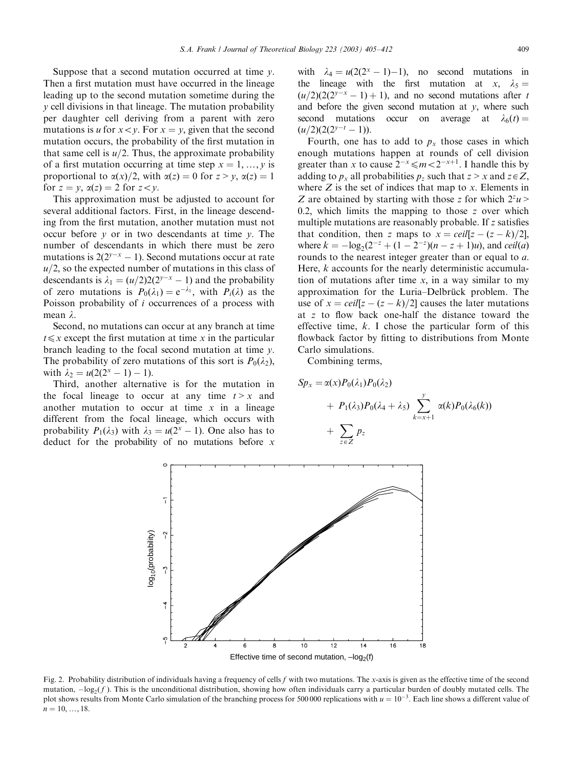<span id="page-4-0"></span>Suppose that a second mutation occurred at time  $y$ . Then a first mutation must have occurred in the lineage leading up to the second mutation sometime during the y cell divisions in that lineage. The mutation probability per daughter cell deriving from a parent with zero mutations is u for  $x < y$ . For  $x = y$ , given that the second mutation occurs, the probability of the first mutation in that same cell is  $u/2$ . Thus, the approximate probability of a first mutation occurring at time step  $x = 1, ..., y$  is proportional to  $\alpha(x)/2$ , with  $\alpha(z) = 0$  for  $z > v$ ,  $\alpha(z) = 1$ for  $z = y$ ,  $\alpha(z) = 2$  for  $z < y$ .

This approximation must be adjusted to account for several additional factors. First, in the lineage descending from the first mutation, another mutation must not occur before  $y$  or in two descendants at time  $y$ . The number of descendants in which there must be zero mutations is  $2(2^{y-x} - 1)$ . Second mutations occur at rate  $u/2$ , so the expected number of mutations in this class of descendants is  $\lambda_1 = (u/2)2(2^{y-x} - 1)$  and the probability of zero mutations is  $P_0(\lambda_1) = e^{-\lambda_1}$ , with  $P_i(\lambda)$  as the Poisson probability of i occurrences of a process with mean  $\lambda$ .

Second, no mutations can occur at any branch at time  $t \leq x$  except the first mutation at time x in the particular branch leading to the focal second mutation at time  $\nu$ . The probability of zero mutations of this sort is  $P_0(\lambda_2)$ , with  $\lambda_2 = u(2(2^x - 1) - 1)$ .

Third, another alternative is for the mutation in the focal lineage to occur at any time  $t > x$  and another mutation to occur at time  $x$  in a lineage different from the focal lineage, which occurs with probability  $P_1(\lambda_3)$  with  $\lambda_3 = u(2^x - 1)$ . One also has to deduct for the probability of no mutations before  $x$  with  $\lambda_4 = u(2(2^x - 1) - 1)$ , no second mutations in the lineage with the first mutation at x,  $\lambda_5 =$  $(u/2)(2(2^{y-x} - 1) + 1)$ , and no second mutations after t and before the given second mutation at  $y$ , where such second mutations occur on average at  $\lambda_6(t) =$  $(u/2)(2(2^{y-t} - 1)).$ 

Fourth, one has to add to  $p_x$  those cases in which enough mutations happen at rounds of cell division greater than x to cause  $2^{-x} \le m < 2^{-x+1}$ . I handle this by adding to  $p_x$  all probabilities  $p_z$  such that  $z > x$  and  $z \in \mathbb{Z}$ . where  $Z$  is the set of indices that map to  $x$ . Elements in Z are obtained by starting with those z for which  $2^z u$ 0.2, which limits the mapping to those  $z$  over which multiple mutations are reasonably probable. If z satisfies that condition, then z maps to  $x = \text{ceil}[z - (z - k)/2]$ , where  $k = -\log_2(2^{-z} + (1 - 2^{-z})(n - z + 1)u)$ , and *ceil(a)* rounds to the nearest integer greater than or equal to a. Here,  $k$  accounts for the nearly deterministic accumulation of mutations after time  $x$ , in a way similar to my approximation for the Luria–Delbrück problem. The use of  $x = \text{ceil}[z - (z - k)/2]$  causes the later mutations at z to flow back one-half the distance toward the effective time,  $k$ . I chose the particular form of this flowback factor by fitting to distributions from Monte Carlo simulations.

Combining terms,

$$
Sp_x = \alpha(x)P_0(\lambda_1)P_0(\lambda_2)
$$
  
+  $P_1(\lambda_3)P_0(\lambda_4 + \lambda_5) \sum_{k=x+1}^{y} \alpha(k)P_0(\lambda_6(k))$   
+  $\sum_{z \in Z} p_z$ 



Fig. 2. Probability distribution of individuals having a frequency of cells  $f$  with two mutations. The x-axis is given as the effective time of the second mutation,  $-\log_2(f)$ . This is the unconditional distribution, showing how often individuals carry a particular burden of doubly mutated cells. The plot shows results from Monte Carlo simulation of the branching process for 500 000 replications with  $u = 10^{-3}$ . Each line shows a different value of  $n = 10, \ldots, 18.$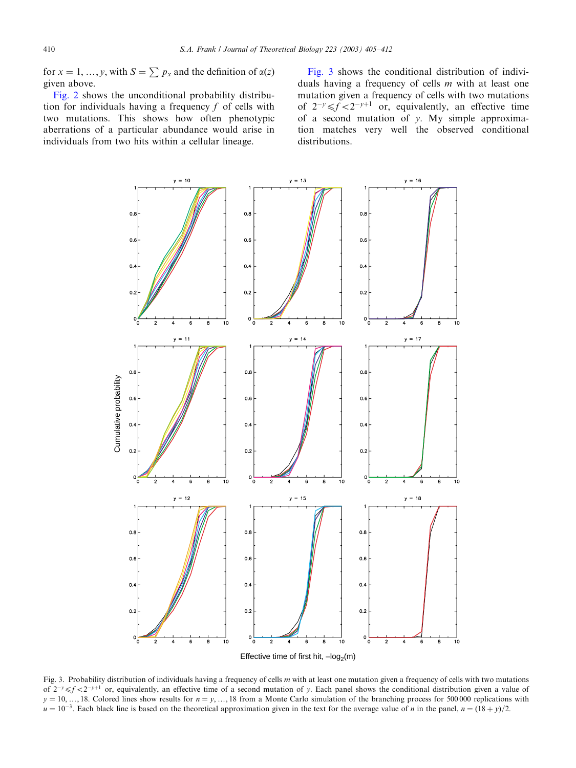<span id="page-5-0"></span>for  $x = 1, ..., y$ , with  $S = \sum p_x$  and the definition of  $\alpha(z)$ given above.

[Fig. 2](#page-4-0) shows the unconditional probability distribution for individuals having a frequency  $f$  of cells with two mutations. This shows how often phenotypic aberrations of a particular abundance would arise in individuals from two hits within a cellular lineage.

Fig. 3 shows the conditional distribution of individuals having a frequency of cells m with at least one mutation given a frequency of cells with two mutations of  $2^{-y} \le f \le 2^{-y+1}$  or, equivalently, an effective time of a second mutation of  $y$ . My simple approximation matches very well the observed conditional distributions.



Fig. 3. Probability distribution of individuals having a frequency of cells m with at least one mutation given a frequency of cells with two mutations of  $2^{-y} \le f \le 2^{-y+1}$  or, equivalently, an effective time of a second mutation of y. Each panel shows the conditional distribution given a value of  $y = 10, \ldots, 18$ . Colored lines show results for  $n = y, \ldots, 18$  from a Monte Carlo simulation of the branching process for 500 000 replications with  $u = 10^{-3}$ . Each black line is based on the theoretical approximation given in the text for the average value of n in the panel,  $n = (18 + y)/2$ .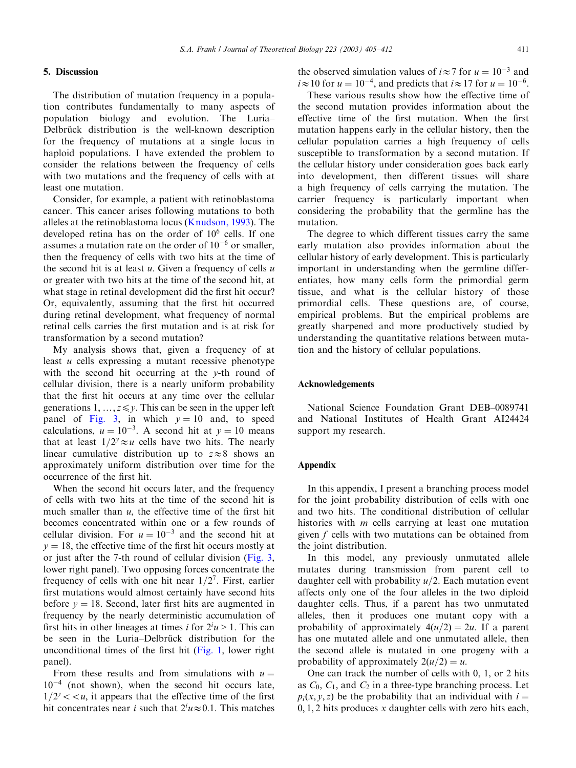#### S.A. Frank / Journal of Theoretical Biology 223 (2003) 405–412 411

# 5. Discussion

The distribution of mutation frequency in a population contributes fundamentally to many aspects of population biology and evolution. The Luria– Delbrück distribution is the well-known description for the frequency of mutations at a single locus in haploid populations. I have extended the problem to consider the relations between the frequency of cells with two mutations and the frequency of cells with at least one mutation.

Consider, for example, a patient with retinoblastoma cancer. This cancer arises following mutations to both alleles at the retinoblastoma locus [\(Knudson, 1993\)](#page-7-0). The developed retina has on the order of  $10<sup>6</sup>$  cells. If one assumes a mutation rate on the order of  $10^{-6}$  or smaller, then the frequency of cells with two hits at the time of the second hit is at least  $u$ . Given a frequency of cells  $u$ or greater with two hits at the time of the second hit, at what stage in retinal development did the first hit occur? Or, equivalently, assuming that the first hit occurred during retinal development, what frequency of normal retinal cells carries the first mutation and is at risk for transformation by a second mutation?

My analysis shows that, given a frequency of at least u cells expressing a mutant recessive phenotype with the second hit occurring at the y-th round of cellular division, there is a nearly uniform probability that the first hit occurs at any time over the cellular generations 1,  $\ldots$ ,  $z \leq y$ . This can be seen in the upper left panel of [Fig. 3,](#page-5-0) in which  $y = 10$  and, to speed calculations,  $u = 10^{-3}$ . A second hit at  $y = 10$  means that at least  $1/2^y \approx u$  cells have two hits. The nearly linear cumulative distribution up to  $z \approx 8$  shows an approximately uniform distribution over time for the occurrence of the first hit.

When the second hit occurs later, and the frequency of cells with two hits at the time of the second hit is much smaller than  $u$ , the effective time of the first hit becomes concentrated within one or a few rounds of cellular division. For  $u = 10^{-3}$  and the second hit at  $y = 18$ , the effective time of the first hit occurs mostly at or just after the 7-th round of cellular division ([Fig. 3](#page-5-0), lower right panel). Two opposing forces concentrate the frequency of cells with one hit near  $1/2^7$ . First, earlier first mutations would almost certainly have second hits before  $y = 18$ . Second, later first hits are augmented in frequency by the nearly deterministic accumulation of first hits in other lineages at times *i* for  $2^i u > 1$ . This can be seen in the Luria–Delbrück distribution for the unconditional times of the first hit ([Fig. 1](#page-3-0), lower right panel).

From these results and from simulations with  $u =$  $10^{-4}$  (not shown), when the second hit occurs late,  $1/2^y < u$ , it appears that the effective time of the first hit concentrates near *i* such that  $2^i u \approx 0.1$ . This matches

the observed simulation values of  $i \approx 7$  for  $u = 10^{-3}$  and  $i \approx 10$  for  $u = 10^{-4}$ , and predicts that  $i \approx 17$  for  $u = 10^{-6}$ .

These various results show how the effective time of the second mutation provides information about the effective time of the first mutation. When the first mutation happens early in the cellular history, then the cellular population carries a high frequency of cells susceptible to transformation by a second mutation. If the cellular history under consideration goes back early into development, then different tissues will share a high frequency of cells carrying the mutation. The carrier frequency is particularly important when considering the probability that the germline has the mutation.

The degree to which different tissues carry the same early mutation also provides information about the cellular history of early development. This is particularly important in understanding when the germline differentiates, how many cells form the primordial germ tissue, and what is the cellular history of those primordial cells. These questions are, of course, empirical problems. But the empirical problems are greatly sharpened and more productively studied by understanding the quantitative relations between mutation and the history of cellular populations.

#### Acknowledgements

National Science Foundation Grant DEB–0089741 and National Institutes of Health Grant AI24424 support my research.

# Appendix

In this appendix, I present a branching process model for the joint probability distribution of cells with one and two hits. The conditional distribution of cellular histories with  $m$  cells carrying at least one mutation given f cells with two mutations can be obtained from the joint distribution.

In this model, any previously unmutated allele mutates during transmission from parent cell to daughter cell with probability  $u/2$ . Each mutation event affects only one of the four alleles in the two diploid daughter cells. Thus, if a parent has two unmutated alleles, then it produces one mutant copy with a probability of approximately  $4(u/2) = 2u$ . If a parent has one mutated allele and one unmutated allele, then the second allele is mutated in one progeny with a probability of approximately  $2(u/2) = u$ .

One can track the number of cells with 0, 1, or 2 hits as  $C_0$ ,  $C_1$ , and  $C_2$  in a three-type branching process. Let  $p_i(x, y, z)$  be the probability that an individual with  $i =$  $0, 1, 2$  hits produces x daughter cells with zero hits each,